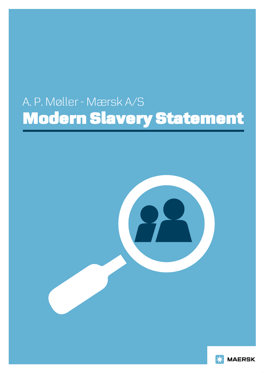# A. P. Møller - Mærsk A/S Modern Slavery Statement



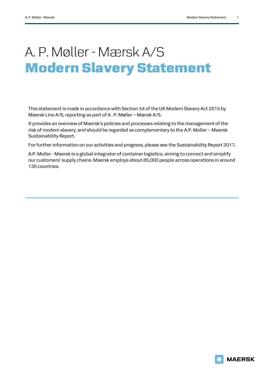# A. P. Møller - Mærsk A/S Modern Slavery Statement

This statement is made in accordance with Section 54 of the UK Modern Slavery Act 2015 by Maersk Line A/S, reporting as part of A . P. Møller – Mærsk A/S.

It provides an overview of Maersk's policies and processes relating to the management of the risk of modern slavery, and should be regarded as complementary to the A.P. Moller – Maersk Sustainability Report.

For further information on our activities and progress, please see the Sustainability Report 2017.

A.P. Moller - Maersk is a global integrator of container logistics, aiming to connect and simplify our customers' supply chains. Maersk employs about 85,000 people across operations in around 130 countries.

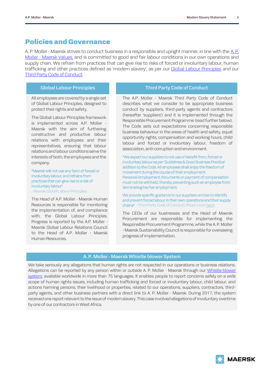#### Policies and Governance

A. P. Moller - Maersk strives to conduct business in a responsible and upright manner, in line with the [A.](http://www.maersk.com/en/the-maersk-group/about-us/maersk-group-core-values) P. Moller - [Maersk Values,](http://www.maersk.com/en/the-maersk-group/about-us/maersk-group-core-values) and is committed to good and fair labour conditions in our own operations and supply chain. We refrain from practices that can give rise to risks of forced or involuntary labour, human trafficking and other practices defined as 'modern slavery', as per our [Global Labour Principles](https://www.maersk.com/-/media/business/sustainability/pdf/publications/maersk_global_labour_principles.ashx?la=en) and our [Third Party Code of Conduct.](https://www.maersk.com/business/sustainability/third-party-code-of-conduct)

All employees are covered by a single set of Global Labour Principles, designed to protect their rights and safety.

The Global Labour Principles framework is implemented across A.P. Moller - Maersk with the aim of furthering constructive and productive labour relations with employees and their representatives, ensuring that labour relations and labour conditions serve the interests of both, the employees and the company.

"Maersk will not use any form of forced or involuntary labour, and refrains from practices that can give rise to a risk of involuntary labour"

- Maersk Global Labour Principles

The Head of A.P. Moller - Maersk Human Resources is responsible for monitoring the implementation of, and compliance with, the Global Labour Principles. Progress is reported by the A.P. Moller - Maersk Global Labour Relations Council to the Head of A.P. Moller - Maersk Human Resources.

#### **Global Labour Principles Third Party Code of Conduct**

The A.P. Moller - Maersk Third Party Code of Conduct describes what we consider to be appropriate business conduct by suppliers, third-party agents and contractors (hereafter 'suppliers') and it is implemented through the Responsible Procurement Programme (read further below). The Code sets out expectations concerning responsible business behaviour in the areas of health and safety, equal opportunity rights, compensation and working hours, child labour and forced or involuntary labour, freedom of association, anti-corruption and environment.

"We expect our suppliers to not use or benefit from, forced or involuntary labour as per 'Guidelines & Good Business Practice' addition to the Code. All employees shall enjoy the freedom of movement during the course of their employment. Personal/employment documents or payment of compensation must not be withheld, thereby preventing such an employee from terminating his/her employment.

We provide specific guidance to our suppliers on how to identify and prevent forced labour in their own operations and their supply chains" - Third Party Code of Conduct (Read mor[e here\)](https://www.maersk.com/business/procurement/responsible-procurement/labour-and-human-rights/forced-labourhttps:/www.maersk.com/business/procurement/responsible-procurement/labour-and-human-rights/forced-labour)

The CEOs of our businesses and the Head of Maersk Procurement are responsible for implementing the Responsible Procurement Programme, while the A. P. Moller - Maersk Sustainability Council is responsible for overseeing progress of implementation.

#### **A. P. Moller - Maersk Whistle blower System**

We take seriously any allegations that human rights are not respected in our operations or business relations. Allegations can be reported by any person within or outside A. P. Moller - Maersk through our Whistle-blower [system,](https://secure.ethicspoint.eu/domain/media/en/gui/102833/index.html) available worldwide in more than 75 languages. It enables people to report concerns safely on a wide scope of human rights issues, including human trafficking and forced or involuntary labour, child labour, and actions harming persons, their livelihood or properties, related to our operations, suppliers, contractors, thirdparty agents, and other business partners with a direct link to A. P. Moller - Maersk. During 2017, the system received one report relevant to the issue of modern slavery. This case involved allegations of involuntary overtime by one of our contractors in West Africa.

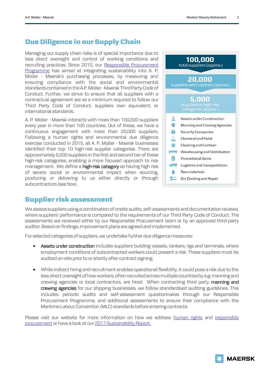### Due Diligence in our Supply Chain

Managing our supply chain risks is of special importance due to less direct oversight and control of working conditions and recruiting practices. Since 2010, our Responsible Procurement [Programme](http://www.maersk.com/en/the-maersk-group/sustainability/responsible-procurement) has aimed at integrating sustainability into A. P. Moller - Maersk's purchasing processes, by measuring and ensuring compliance with the social and environmental standards contained in the A.P. Moller - Maersk Third Party Code of Conduct. Further, we strive to ensure that all suppliers with a contractual agreement are as a minimum required to follow our Third Party Code of Conduct, suppliers own equivalent, or international standards.

A. P. Moller - Maersk interacts with more than 100,000 suppliers every year in more than 100 countries. Out of these, we have a continuous engagement with more than 20,000 suppliers. Following a human rights and environmental due diligence exercise conducted in 2015, all A. P. Moller - Maersk businesses identified their top 10 high-risk supplier categories. There are approximately 5,000 suppliers in the first and second tier of these high-risk categories, enabling a more focused approach to risk management. We define a **high-risk category** as having high risk of severe social or environmental impact when sourcing, producing or delivering to us either directly or through subcontractors (see box).



## Supplier risk assessment

We assess suppliers using a combination of onsite audits, self-assessments and documentation reviews, where suppliers' performance is compared to the requirements of our Third Party Code of Conduct. The assessments are reviewed either by our Responsible Procurement team or by an approved third-party auditor. Based on findings, improvement plans are agreed and implemented.

For selected categories of suppliers, we undertake further due diligence measures:

- Assets under construction includes suppliers building vessels, tankers, rigs and terminals, where employment conditions of subcontracted workers could present a risk. These suppliers must be audited on-site prior to or shortly after contract signing.
- While indirect hiring and recruitment enables operational flexibility, it could pose a risk due to the less direct oversight of how workers, often recruited across multiple countries by e.g. manning and crewing agencies or local contractors, are hired. When contracting third party manning and crewing agencies for our shipping businesses, we follow standardised auditing guidelines. This includes: periodic audits and self-assessment questionnaires through our Responsible Procurement Programme, and additional assessments to ensure their compliance with the Maritime Labour Convention (MLC) standards before entering contracts.

Please visit our website for more information on how we address [human rights](https://www.maersk.com/business/sustainability/responsibility/human-rights) and responsible [procurement](https://www.maersk.com/business/procurement/responsible-procurement) or have a look at ou[r 2017 Sustainability Report.](https://www.maersk.com/business/sustainability/sustainability-reports-and-publications/reports) 

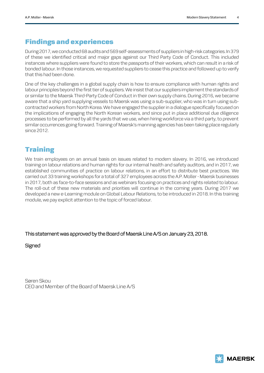### Findings and experiences

During 2017,we conducted 68 audits and 569 self-assessments of suppliers in high-risk categories. In 379 of these we identified critical and major gaps against our Third Party Code of Conduct. This included instances where suppliers were found to store the passports of their workers, which can result in a risk of bonded labour. In those instances, we requested suppliers to cease this practice and followed up to verify that this had been done.

One of the key challenges in a global supply chain is how to ensure compliance with human rights and labour principles beyond the first tier of suppliers. We insist that our suppliers implement the standards of or similar to the Maersk Third-Party Code of Conduct in their own supply chains. During 2016, we became aware that a ship yard supplying vessels to Maersk was using a sub-supplier, who was in turn using subcontracted workers from North Korea. We have engaged the supplier in a dialogue specifically focused on the implications of engaging the North Korean workers, and since put in place additional due diligence processes to be performed by all the yards that we use, when hiring workforce via a third party, to prevent similar occurrences going forward. Training of Maersk's manning agencies has been taking place regularly since 2012.

# **Training**

We train employees on an annual basis on issues related to modern slavery. In 2016, we introduced training on labour relations and human rights for our internal health and safety auditors, and in 2017, we established communities of practice on labour relations, in an effort to distribute best practices. We carried out 33 training workshops for a total of 327 employees across the A.P. Moller - Maersk businesses in 2017, both as face-to-face sessions and as webinars focusing on practices and rights related to labour. The roll-out of these new materials and priorities will continue in the coming years. During 2017 we developed a new e-Learning module on Global Labour Relations, to be introduced in 2018. In this training module, we pay explicit attention to the topic of forced labour.

#### This statement was approved by the Board of Maersk Line A/S on January 23, 2018.

**Signed** 

Søren Skou CEO and Member of the Board of Maersk Line A/S